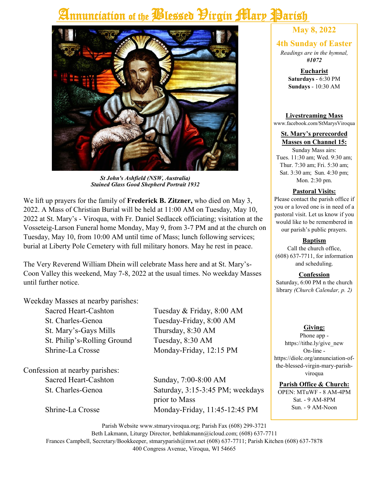# Annunciation of the Plessed Pirgin Mary Parish



*St John's Ashfield (NSW, Australia) Stained Glass Good Shepherd Portrait 1932*

We lift up prayers for the family of **Frederick B. Zitzner,** who died on May 3, 2022. A Mass of Christian Burial will be held at 11:00 AM on Tuesday, May 10, 2022 at St. Mary's - Viroqua, with Fr. Daniel Sedlacek officiating; visitation at the Vosseteig-Larson Funeral home Monday, May 9, from 3-7 PM and at the church on Tuesday, May 10, from 10:00 AM until time of Mass; lunch following services; burial at Liberty Pole Cemetery with full military honors. May he rest in peace.

The Very Reverend William Dhein will celebrate Mass here and at St. Mary's-Coon Valley this weekend, May 7-8, 2022 at the usual times. No weekday Masses until further notice.

Weekday Masses at nearby parishes:

St. Charles-Genoa Tuesday-Friday, 8:00 AM St. Mary's-Gays Mills Thursday, 8:30 AM St. Philip's-Rolling Ground Tuesday, 8:30 AM Shrine-La Crosse Monday-Friday, 12:15 PM

Confession at nearby parishes:

Sacred Heart-Cashton Tuesday & Friday, 8:00 AM

Sacred Heart-Cashton Sunday, 7:00-8:00 AM St. Charles-Genoa Saturday, 3:15-3:45 PM; weekdays prior to Mass Shrine-La Crosse Monday-Friday, 11:45-12:45 PM

# **May 8, 2022**

### **4th Sunday of Easter**

*Readings are in the hymnal, #1072*

> **Eucharist Saturdays** - 6:30 PM **Sundays** - 10:30 AM

**Livestreaming Mass** www.facebook.com/StMarysViroqua

### **St. Mary's prerecorded Masses on Channel 15:**

Sunday Mass airs: Tues. 11:30 am; Wed. 9:30 am; Thur. 7:30 am; Fri. 5:30 am; Sat. 3:30 am; Sun. 4:30 pm; Mon. 2:30 pm.

### **Pastoral Visits:**

Please contact the parish office if you or a loved one is in need of a pastoral visit. Let us know if you would like to be remembered in our parish's public prayers.

### **Baptism**

Call the church office, (608) 637-7711, for information and scheduling.

### **Confession**

Saturday, 6:00 PM n the church library *(Church Calendar, p. 2)*

### **Giving:**

Phone app https://tithe.ly/give\_new On-line https://diolc.org/annunciation-ofthe-blessed-virgin-mary-parishviroqua

**Parish Office & Church:**

OPEN: MTuWF - 8 AM-4PM Sat. - 9 AM-8PM Sun. - 9 AM-Noon

Parish Website www.stmaryviroqua.org; Parish Fax (608) 299-3721 Beth Lakmann, Liturgy Director, bethlakmann@icloud.com; (608) 637-7711 Frances Campbell, Secretary/Bookkeeper, stmaryparish@mwt.net (608) 637-7711; Parish Kitchen (608) 637-7878 400 Congress Avenue, Viroqua, WI 54665